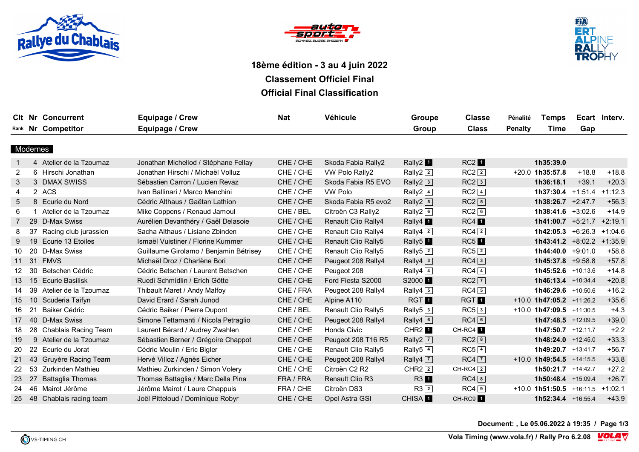





## **18ème édition - 3 au 4 juin 2022 Classement Officiel Final Official Final Classification**

|           |          | <b>CIt Nr Concurrent</b> | Equipage / Crew                        | <b>Nat</b> | Véhicule                              | Groupe                          | <b>Classe</b>       | Pénalité       | <b>Temps</b>                 |         | Ecart Interv. |
|-----------|----------|--------------------------|----------------------------------------|------------|---------------------------------------|---------------------------------|---------------------|----------------|------------------------------|---------|---------------|
|           |          | Rank Nr Competitor       | Equipage / Crew                        |            |                                       | Group                           | <b>Class</b>        | <b>Penalty</b> | Time                         | Gap     |               |
|           |          |                          |                                        |            |                                       |                                 |                     |                |                              |         |               |
|           | Modernes |                          |                                        |            |                                       |                                 |                     |                |                              |         |               |
|           |          | 4 Atelier de la Tzoumaz  | Jonathan Michellod / Stéphane Fellay   | CHE / CHE  | Skoda Fabia Rally2                    | Rally2 <sup>1</sup>             | RC2                 |                | 1h35:39.0                    |         |               |
| 2         |          | 6 Hirschi Jonathan       | Jonathan Hirschi / Michaël Volluz      | CHE / CHE  | VW Polo Rally2                        | Rally2 $\boxed{2}$              | $RC2$ $\boxed{2}$   |                | $+20.0$ 1h35:57.8            | $+18.8$ | $+18.8$       |
| 3         |          | 3 DMAX SWISS             | Sébastien Carron / Lucien Revaz        | CHE / CHE  | Skoda Fabia R5 EVO                    | Rally2 $3$                      | $RC2\sqrt{3}$       |                | 1h36:18.1                    | $+39.1$ | $+20.3$       |
| 4         |          | 2 ACS                    | Ivan Ballinari / Marco Menchini        | CHE / CHE  | <b>VW Polo</b>                        | Rally2 $4$                      | $RC2$ $\boxed{4}$   |                | $1h37:30.4$ +1:51.4 +1:12.3  |         |               |
| 5         |          | 8 Ecurie du Nord         | Cédric Althaus / Gaëtan Lathion        | CHE / CHE  | Skoda Fabia R5 evo2                   | Rally2 $\boxed{5}$              | $RC2$ 5             |                | $1h38:26.7 +2:47.7$          |         | $+56.3$       |
| 6         |          | 1 Atelier de la Tzoumaz  | Mike Coppens / Renaud Jamoul           | CHE / BEL  | Citroën C3 Rally2                     | Rally2 $6$                      | $RC2$ <sup>6</sup>  |                | $1h38:41.6$ +3:02.6          |         | $+14.9$       |
|           |          | 29 D-Max Swiss           | Aurélien Devanthéry / Gaël Delasoie    | CHE / CHE  | <b>Renault Clio Rally4</b>            | Rally4 <sub>1</sub>             | RC4                 |                | $1h41:00.7$ +5:21.7 +2:19.1  |         |               |
| 8         |          | 37 Racing club jurassien | Sacha Althaus / Lisiane Zbinden        | CHE / CHE  | <b>Renault Clio Rally4</b>            | Rally $\boxed{2}$               | $RC4$ $2$           |                | $1h42:05.3 +6:26.3 +1:04.6$  |         |               |
| 9         | 19       | Ecurie 13 Etoiles        | Ismaël Vuistiner / Florine Kummer      | CHE / CHE  | <b>Renault Clio Rally5</b>            | Rally <sub>5</sub> <sup>1</sup> | $RC5$ <sup>1</sup>  |                | $1h43:41.2$ +8:02.2 +1:35.9  |         |               |
| 10        |          | 20 D-Max Swiss           | Guillaume Girolamo / Benjamin Bétrisey | CHE / CHE  | Renault Clio Rally5                   | Rally <sub>5</sub> $2$          | $RC5$ <sup>2</sup>  |                | 1h44:40.0 $+9:01.0$          |         | $+58.8$       |
| 11        |          | 31 FMVS                  | Michaël Droz / Charlène Bori           | CHE / CHE  | Peugeot 208 Rally4                    | Rally4 $3$                      | $RC4$ 3             |                | $1h45:37.8 + 9:58.8$         |         | $+57.8$       |
| 12.       |          | 30 Betschen Cédric       | Cédric Betschen / Laurent Betschen     | CHE / CHE  | Peugeot 208                           | Rally4 $4$                      | $RC4$ 4             |                | 1h45:52.6 +10:13.6           |         | $+14.8$       |
| 13        |          | 15 Ecurie Basilisk       | Ruedi Schmidlin / Erich Götte          | CHE / CHE  | Ford Fiesta S2000                     | S2000 <sup>1</sup>              | $RC2$ $\boxed{7}$   |                | $1h46:13.4$ +10:34.4         |         | $+20.8$       |
| 14        |          | 39 Atelier de la Tzoumaz | Thibault Maret / Andy Malfoy           | CHE / FRA  | Peugeot 208 Rally4                    | Rally $4\overline{5}$           | $RC4$ 5             |                | 1h46:29.6 +10:50.6           |         | $+16.2$       |
| 15        |          | 10 Scuderia Taifyn       | David Erard / Sarah Junod              | CHE / CHE  | Alpine A110                           | <b>RGT</b>                      | <b>RGT</b>          |                | $+10.0$ 1h47:05.2 $+11:26.2$ |         | $+35.6$       |
| 16.       | 21       | Baiker Cédric            | Cédric Baiker / Pierre Dupont          | CHE / BEL  | Renault Clio Rally5                   | Rally $5\overline{3}$           | RC53                |                | $+10.0$ 1h47:09.5 $+11:30.5$ |         | $+4.3$        |
|           |          | 17 40 D-Max Swiss        | Simone Tettamanti / Nicola Petraglio   | CHE / CHE  | Peugeot 208 Rally4                    | Rally4 $\boxed{6}$              | $RC4$ 6             |                | 1h47:48.5 +12:09.5           |         | $+39.0$       |
| 18        |          | 28 Chablais Racing Team  | Laurent Bérard / Audrey Zwahlen        | CHE / CHE  | Honda Civic                           | CHR <sub>2</sub>                | CH-RC4 1            |                | 1h47:50.7 +12:11.7           |         | $+2.2$        |
| 19        |          | 9 Atelier de la Tzoumaz  | Sébastien Berner / Grégoire Chappot    | CHE / CHE  | Peugeot 208 T16 R5                    | Rally2 $\boxed{7}$              | $RC2$ <sup>8</sup>  |                | 1h48:24.0 +12:45.0           |         | $+33.3$       |
| <b>20</b> |          | 22 Ecurie du Jorat       | Cédric Moulin / Eric Bigler            | CHE / CHE  | Renault Clio Rally5                   | Rally <sub>5</sub> $\boxed{4}$  | $RC5$ <sup>4</sup>  |                | 1h49:20.7 +13:41.7           |         | $+56.7$       |
| 21        | 43       | Gruyère Racing Team      | Hervé Villoz / Agnès Eicher            | CHE / CHE  | Peugeot 208 Rally4                    | Rally4 $\boxed{7}$              | $RC4$ $\boxed{7}$   |                | $+10.0$ 1h49:54.5 $+14:15.5$ |         | $+33.8$       |
| 22        |          | 53 Zurkinden Mathieu     | Mathieu Zurkinden / Simon Volery       | CHE / CHE  | Citroën C <sub>2</sub> R <sub>2</sub> | CHR2 $\boxed{2}$                | $CH-RC4$ 2          |                | 1h50:21.7 +14:42.7           |         | $+27.2$       |
| 23        | 27       | <b>Battaglia Thomas</b>  | Thomas Battaglia / Marc Della Pina     | FRA / FRA  | Renault Clio R3                       | R3 1                            | $RC4 \boxed{8}$     |                | 1h50:48.4 +15:09.4           |         | $+26.7$       |
|           |          | 46 Mairot Jérôme         | Jérôme Mairot / Laure Chappuis         | FRA / CHE  | Citroën DS3                           | $R3$ $2$                        | $RC4$ <sup>9</sup>  |                | $+10.0$ 1h51:50.5 $+16:11.5$ |         | $+1:02.1$     |
| 25        |          | 48 Chablais racing team  | Joël Pitteloud / Dominique Robyr       | CHE / CHE  | Opel Astra GSI                        | CHISA <sup>1</sup>              | CH-RC9 <sup>1</sup> |                | 1h52:34.4 +16:55.4           |         | $+43.9$       |

**Document: , Le 05.06.2022 à 19:35 / Page 1/3**

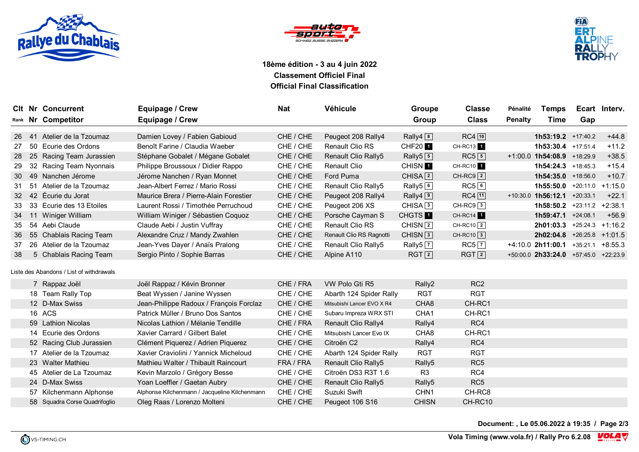





## **18ème édition - 3 au 4 juin 2022 Classement Officiel Final Official Final Classification**

|    |  | <b>CIt Nr Concurrent</b>                 | <b>Equipage / Crew</b>                        | <b>Nat</b> | Véhicule                   | <b>Groupe</b>                  | <b>Classe</b>         | Pénalité       | Temps                                    |     | Ecart Interv. |
|----|--|------------------------------------------|-----------------------------------------------|------------|----------------------------|--------------------------------|-----------------------|----------------|------------------------------------------|-----|---------------|
|    |  | Rank Nr Competitor                       | Equipage / Crew                               |            |                            | Group                          | <b>Class</b>          | <b>Penalty</b> | Time                                     | Gap |               |
| 26 |  | 41 Atelier de la Tzoumaz                 | Damien Lovey / Fabien Gabioud                 | CHE / CHE  | Peugeot 208 Rally4         | Rally $4\sqrt{8}$              | $RC4$ [10]            |                | 1h53:19.2 +17:40.2                       |     | $+44.8$       |
| 27 |  | 50 Ecurie des Ordons                     | Benoît Farine / Claudia Waeber                | CHE / CHE  | Renault Clio RS            | <b>CHF201</b>                  | CH-RC13 1             |                | 1h53:30.4 +17:51.4                       |     | $+11.2$       |
| 28 |  | 25 Racing Team Jurassien                 | Stéphane Gobalet / Mégane Gobalet             | CHE / CHE  | Renault Clio Rally5        | Rally $5\overline{5}$          | $RC5\sqrt{5}$         |                | $+1:00.0$ 1h54:08.9 $+18:29.9$           |     | $+38.5$       |
| 29 |  | 32 Racing Team Nyonnais                  | Philippe Broussoux / Didier Rappo             | CHE / CHE  | Renault Clio               | CHISN <b>1</b>                 | CH-RC10 1             |                | 1h54:24.3 +18:45.3                       |     | $+15.4$       |
| 30 |  | 49 Nanchen Jérome                        | Jérome Nanchen / Ryan Monnet                  | CHE / CHE  | Ford Puma                  | CHISA <sub>2</sub>             | $CH-RC9$ <sup>2</sup> |                | 1h54:35.0 +18:56.0                       |     | $+10.7$       |
| 31 |  | 51 Atelier de la Tzoumaz                 | Jean-Albert Ferrez / Mario Rossi              | CHE / CHE  | Renault Clio Rally5        | Rally5 <sup>6</sup>            | $RC5$ <sup>6</sup>    |                | $1h55:50.0$ +20:11.0                     |     | $+1:15.0$     |
| 32 |  | 42 Écurie du Jorat                       | Maurice Brera / Pierre-Alain Forestier        | CHE / CHE  | Peugeot 208 Rally4         | Rally $4\sqrt{9}$              | $RC4$ [11]            |                | $+10:30.0$ 1h56:12.1 $+20:33.1$          |     | $+22.1$       |
| 33 |  | 33 Ecurie des 13 Etoiles                 | Laurent Rossi / Timothée Perruchoud           | CHE / CHE  | Peugeot 206 XS             | CHISA <sup>3</sup>             | $CH-RC9$ <sup>3</sup> |                | 1h58:50.2 +23:11.2 +2:38.1               |     |               |
| 34 |  | 11 Winiger William                       | William Winiger / Sébastien Coquoz            | CHE / CHE  | Porsche Cayman S           | CHGTS <sup>1</sup>             | CH-RC14 1             |                | 1h59:47.1 +24:08.1                       |     | $+56.9$       |
| 35 |  | 54 Aebi Claude                           | Claude Aebi / Justin Vuffray                  | CHE / CHE  | <b>Renault Clio RS</b>     | CHISN <sub>2</sub>             | CH-RC10 $\boxed{2}$   |                | $2h01:03.3$ +25:24.3 +1:16.2             |     |               |
| 36 |  | 55 Chablais Racing Team                  | Alexandre Cruz / Mandy Zwahlen                | CHE / CHE  | Renault Clio RS Ragnotti   | CHISN $\boxed{3}$              | $CH-RC10$ 3           |                | $2h02:04.8$ +26:25.8 +1:01.5             |     |               |
| 37 |  | 26 Atelier de la Tzoumaz                 | Jean-Yves Dayer / Anaïs Pralong               | CHE / CHE  | Renault Clio Rally5        | Rally <sub>5</sub> $\boxed{7}$ | $RC5\vert 7$          |                | $+4:10.0$ 2h11:00.1 $+35:21.1$ $+8:55.3$ |     |               |
| 38 |  | 5 Chablais Racing Team                   | Sergio Pinto / Sophie Barras                  | CHE / CHE  | Alpine A110                | $RGT$ <sup>2</sup>             | RGT[2]                |                | +50:00.0 2h33:24.0 +57:45.0 +22:23.9     |     |               |
|    |  | Liste des Abandons / List of withdrawals |                                               |            |                            |                                |                       |                |                                          |     |               |
|    |  | 7 Rappaz Joël                            | Joël Rappaz / Kévin Bronner                   | CHE / FRA  | VW Polo Gti R5             | Rally2                         | RC <sub>2</sub>       |                |                                          |     |               |
|    |  | 18 Team Rally Top                        | Beat Wyssen / Janine Wyssen                   | CHE / CHE  | Abarth 124 Spider Rally    | <b>RGT</b>                     | <b>RGT</b>            |                |                                          |     |               |
|    |  | 12 D-Max Swiss                           | Jean-Philippe Radoux / François Forclaz       | CHE / CHE  | Mitsubishi Lancer EVO X R4 | CHA <sub>8</sub>               | CH-RC1                |                |                                          |     |               |
|    |  | 16 ACS                                   | Patrick Müller / Bruno Dos Santos             | CHE / CHE  | Subaru Impreza WRX STI     | CHA1                           | CH-RC1                |                |                                          |     |               |
|    |  | 59 Lathion Nicolas                       | Nicolas Lathion / Mélanie Tendille            | CHE / FRA  | Renault Clio Rally4        | Rally4                         | RC4                   |                |                                          |     |               |
|    |  | 14 Ecurie des Ordons                     | Xavier Carrard / Gilbert Balet                | CHE / CHE  | Mitsubishi Lancer Evo IX   | CHA8                           | CH-RC1                |                |                                          |     |               |
|    |  | 52 Racing Club Jurassien                 | Clément Piquerez / Adrien Piquerez            | CHE / CHE  | Citroën C2                 | Rally4                         | RC4                   |                |                                          |     |               |
|    |  | 17 Atelier de la Tzoumaz                 | Xavier Craviolini / Yannick Micheloud         | CHE / CHE  | Abarth 124 Spider Rally    | <b>RGT</b>                     | <b>RGT</b>            |                |                                          |     |               |
|    |  | 23 Walter Mathieu                        | Mathieu Walter / Thibault Raincourt           | FRA / FRA  | Renault Clio Rally5        | Rally <sub>5</sub>             | RC <sub>5</sub>       |                |                                          |     |               |
|    |  | 45 Atelier de La Tzoumaz                 | Kevin Marzolo / Grégory Besse                 | CHE / CHE  | Citroën DS3 R3T 1.6        | R <sub>3</sub>                 | RC4                   |                |                                          |     |               |
|    |  | 24 D-Max Swiss                           | Yoan Loeffler / Gaetan Aubry                  | CHE / CHE  | <b>Renault Clio Rally5</b> | Rally <sub>5</sub>             | RC <sub>5</sub>       |                |                                          |     |               |
|    |  | 57 Kilchenmann Alphonse                  | Alphonse Kilchenmann / Jacqueline Kilchenmann | CHE / CHE  | Suzuki Swift               | CHN <sub>1</sub>               | CH-RC8                |                |                                          |     |               |
|    |  | 58 Squadra Corse Quadrifoglio            | Oleg Raas / Lorenzo Molteni                   | CHE / CHE  | Peugeot 106 S16            | <b>CHISN</b>                   | CH-RC10               |                |                                          |     |               |

**Document: , Le 05.06.2022 à 19:35 / Page 2/3**